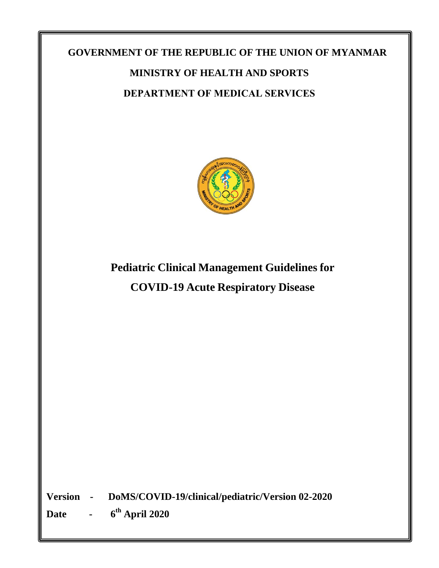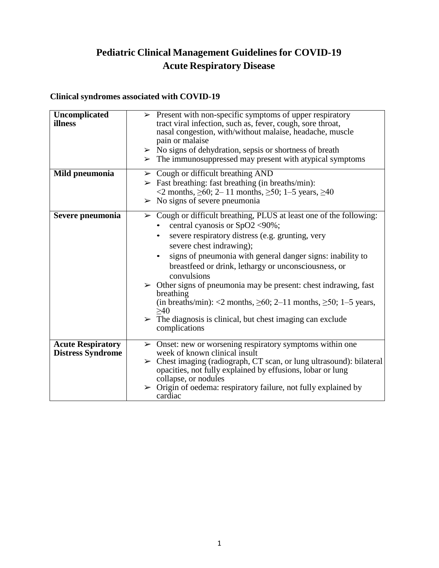# **Pediatric Clinical Management Guidelines for COVID-19 Acute Respiratory Disease**

# **Clinical syndromes associated with COVID-19**

| Uncomplicated<br>illness | $\triangleright$ Present with non-specific symptoms of upper respiratory<br>tract viral infection, such as, fever, cough, sore throat,<br>nasal congestion, with/without malaise, headache, muscle<br>pain or malaise |
|--------------------------|-----------------------------------------------------------------------------------------------------------------------------------------------------------------------------------------------------------------------|
|                          | $\triangleright$ No signs of dehydration, sepsis or shortness of breath                                                                                                                                               |
|                          | $\triangleright$ The immunosuppressed may present with atypical symptoms                                                                                                                                              |
| Mild pneumonia           | $\triangleright$ Cough or difficult breathing AND                                                                                                                                                                     |
|                          | $\triangleright$ Fast breathing: fast breathing (in breaths/min):                                                                                                                                                     |
|                          | <2 months, $\geq 60$ ; 2-11 months, $\geq 50$ ; 1-5 years, $\geq 40$                                                                                                                                                  |
|                          | $>$ No signs of severe pneumonia                                                                                                                                                                                      |
| Severe pneumonia         | Cough or difficult breathing, PLUS at least one of the following:<br>$\blacktriangleright$<br>central cyanosis or SpO2 <90%;                                                                                          |
|                          | severe respiratory distress (e.g. grunting, very<br>$\bullet$                                                                                                                                                         |
|                          | severe chest indrawing);                                                                                                                                                                                              |
|                          | signs of pneumonia with general danger signs: inability to<br>$\bullet$                                                                                                                                               |
|                          | breastfeed or drink, lethargy or unconsciousness, or<br>convulsions                                                                                                                                                   |
|                          | $\triangleright$ Other signs of pneumonia may be present: chest indrawing, fast<br>breathing                                                                                                                          |
|                          | (in breaths/min): <2 months, $\geq 60$ ; 2-11 months, $\geq 50$ ; 1-5 years,<br>>40                                                                                                                                   |
|                          | $\triangleright$ The diagnosis is clinical, but chest imaging can exclude<br>complications                                                                                                                            |
|                          |                                                                                                                                                                                                                       |
| <b>Acute Respiratory</b> | $\triangleright$ Onset: new or worsening respiratory symptoms within one                                                                                                                                              |
| <b>Distress Syndrome</b> | week of known clinical insult                                                                                                                                                                                         |
|                          | $\triangleright$ Chest imaging (radiograph, CT scan, or lung ultrasound): bilateral<br>opacities, not fully explained by effusions, lobar or lung                                                                     |
|                          | collapse, or nodules                                                                                                                                                                                                  |
|                          | $\triangleright$ Origin of oedema: respiratory failure, not fully explained by<br>cardiac                                                                                                                             |
|                          |                                                                                                                                                                                                                       |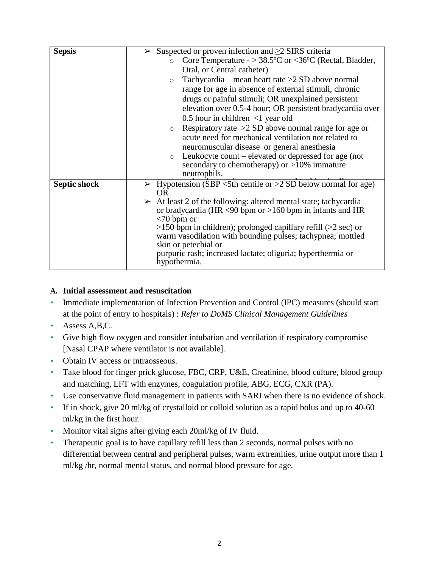| <b>Sepsis</b>       | Suspected or proven infection and $\geq$ 2 SIRS criteria                        |  |  |
|---------------------|---------------------------------------------------------------------------------|--|--|
|                     | Core Temperature - $> 38.5$ °C or <36°C (Rectal, Bladder,<br>$\circ$            |  |  |
|                     | Oral, or Central catheter)                                                      |  |  |
|                     | Tachycardia – mean heart rate > 2SD above normal<br>$\circ$                     |  |  |
|                     | range for age in absence of external stimuli, chronic                           |  |  |
|                     | drugs or painful stimuli; OR unexplained persistent                             |  |  |
|                     | elevation over 0.5-4 hour; OR persistent bradycardia over                       |  |  |
|                     | 0.5 hour in children $\langle$ 1 year old                                       |  |  |
|                     | Respiratory rate $>2$ SD above normal range for age or<br>$\circ$               |  |  |
|                     | acute need for mechanical ventilation not related to                            |  |  |
|                     | neuromuscular disease or general anesthesia                                     |  |  |
|                     | Leukocyte count – elevated or depressed for age (not<br>$\circ$                 |  |  |
|                     | secondary to chemotherapy) or $>10\%$ immature                                  |  |  |
|                     | neutrophils.                                                                    |  |  |
| <b>Septic shock</b> | $\triangleright$ Hypotension (SBP <5th centile or >2 SD below normal for age)   |  |  |
|                     | OR.                                                                             |  |  |
|                     | $\triangleright$ At least 2 of the following: altered mental state; tachycardia |  |  |
|                     | or bradycardia (HR $\leq$ 90 bpm or $>$ 160 bpm in infants and HR               |  |  |
|                     | $<$ 70 bpm or                                                                   |  |  |
|                     | $>150$ bpm in children); prolonged capillary refill ( $>2$ sec) or              |  |  |
|                     | warm vasodilation with bounding pulses; tachypnea; mottled                      |  |  |
|                     | skin or petechial or                                                            |  |  |
|                     | purpuric rash; increased lactate; oliguria; hyperthermia or                     |  |  |
|                     | hypothermia.                                                                    |  |  |
|                     |                                                                                 |  |  |

# **A. Initial assessment and resuscitation**

- Immediate implementation of Infection Prevention and Control (IPC) measures (should start at the point of entry to hospitals) : *Refer to DoMS Clinical Management Guidelines*
- Assess A,B,C.
- Give high flow oxygen and consider intubation and ventilation if respiratory compromise [Nasal CPAP where ventilator is not available].
- Obtain IV access or Intraosseous.
- Take blood for finger prick glucose, FBC, CRP, U&E, Creatinine, blood culture, blood group and matching, LFT with enzymes, coagulation profile, ABG, ECG, CXR (PA).
- Use conservative fluid management in patients with SARI when there is no evidence of shock.
- If in shock, give 20 ml/kg of crystalloid or colloid solution as a rapid bolus and up to 40-60 ml/kg in the first hour.
- Monitor vital signs after giving each 20ml/kg of IV fluid.
- Therapeutic goal is to have capillary refill less than 2 seconds, normal pulses with no differential between central and peripheral pulses, warm extremities, urine output more than 1 ml/kg /hr, normal mental status, and normal blood pressure for age.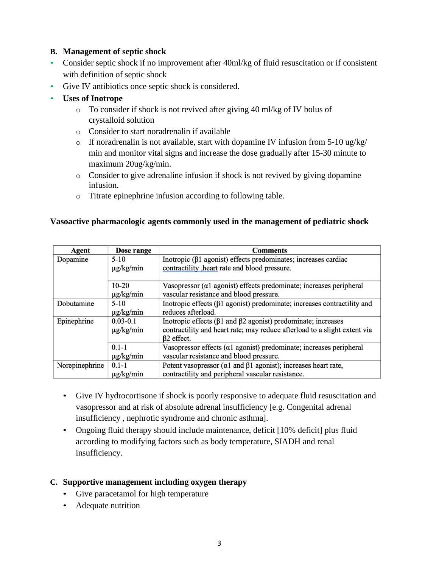#### **B. Management of septic shock**

- Consider septic shock if no improvement after 40ml/kg of fluid resuscitation or if consistent with definition of septic shock
- Give IV antibiotics once septic shock is considered.
- **Uses of Inotrope**
	- o To consider if shock is not revived after giving 40 ml/kg of IV bolus of crystalloid solution
	- o Consider to start noradrenalin if available
	- $\circ$  If noradrenalin is not available, start with dopamine IV infusion from 5-10 ug/kg/ min and monitor vital signs and increase the dose gradually after 15-30 minute to maximum 20ug/kg/min.
	- $\circ$  Consider to give adrenaline infusion if shock is not revived by giving dopamine infusion.
	- o Titrate epinephrine infusion according to following table.

#### **Vasoactive pharmacologic agents commonly used in the management of pediatric shock**

| Agent          | Dose range     | <b>Comments</b>                                                                |
|----------------|----------------|--------------------------------------------------------------------------------|
| Dopamine       | $5 - 10$       | Inotropic (β1 agonist) effects predominates; increases cardiac                 |
|                | $\mu$ g/kg/min | contractility , heart rate and blood pressure.                                 |
|                | $10 - 20$      | Vasopressor $(a1$ agonist) effects predominate; increases peripheral           |
|                | $\mu$ g/kg/min | vascular resistance and blood pressure.                                        |
| Dobutamine     | $5-10$         | Inotropic effects $(\beta 1$ agonist) predominate; increases contractility and |
|                | $\mu$ g/kg/min | reduces afterload.                                                             |
| Epinephrine    | $0.03 - 0.1$   | Inotropic effects ( $\beta$ 1 and $\beta$ 2 agonist) predominate; increases    |
|                | $\mu$ g/kg/min | contractility and heart rate; may reduce afterload to a slight extent via      |
|                |                | $\beta$ 2 effect.                                                              |
|                | $0.1 - 1$      | Vasopressor effects ( $\alpha$ 1 agonist) predominate; increases peripheral    |
|                | $\mu$ g/kg/min | vascular resistance and blood pressure.                                        |
| Norepinephrine | $0.1 - 1$      | Potent vasopressor ( $\alpha$ 1 and $\beta$ 1 agonist); increases heart rate,  |
|                | $\mu$ g/kg/min | contractility and peripheral vascular resistance.                              |

- Give IV hydrocortisone if shock is poorly responsive to adequate fluid resuscitation and vasopressor and at risk of absolute adrenal insufficiency [e.g. Congenital adrenal insufficiency , nephrotic syndrome and chronic asthma].
- Ongoing fluid therapy should include maintenance, deficit [10% deficit] plus fluid according to modifying factors such as body temperature, SIADH and renal insufficiency.

# **C. Supportive management including oxygen therapy**

- Give paracetamol for high temperature
- Adequate nutrition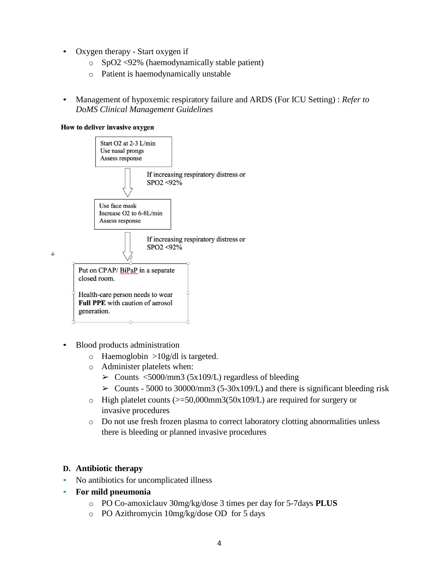- Oxygen therapy Start oxygen if
	- o SpO2 <92% (haemodynamically stable patient)
	- o Patient is haemodynamically unstable
- Management of hypoxemic respiratory failure and ARDS (For ICU Setting) : *Refer to DoMS Clinical Management Guidelines*

#### How to deliver invasive oxygen



- Blood products administration
	- $\circ$  Haemoglobin >10g/dl is targeted.
	- o Administer platelets when:
		- $\geq$  Counts <5000/mm3 (5x109/L) regardless of bleeding
		- $\geq$  Counts 5000 to 30000/mm3 (5-30x109/L) and there is significant bleeding risk
	- $\circ$  High platelet counts ( $\ge$ =50,000mm3(50x109/L) are required for surgery or invasive procedures
	- o Do not use fresh frozen plasma to correct laboratory clotting abnormalities unless there is bleeding or planned invasive procedures

# **D. Antibiotic therapy**

- No antibiotics for uncomplicated illness
- **For mild pneumonia**
	- o PO Co-amoxiclauv 30mg/kg/dose 3 times per day for 5-7days **PLUS**
	- o PO Azithromycin 10mg/kg/dose OD for 5 days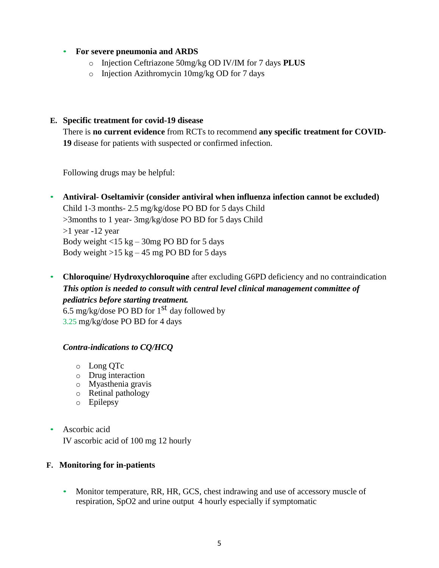#### • **For severe pneumonia and ARDS**

- o Injection Ceftriazone 50mg/kg OD IV/IM for 7 days **PLUS**
- o Injection Azithromycin 10mg/kg OD for 7 days

#### **E. Specific treatment for covid-19 disease**

There is **no current evidence** from RCTs to recommend **any specific treatment for COVID-19** disease for patients with suspected or confirmed infection.

Following drugs may be helpful:

- **Antiviral- Oseltamivir (consider antiviral when influenza infection cannot be excluded)** Child 1-3 months- 2.5 mg/kg/dose PO BD for 5 days Child >3months to 1 year- 3mg/kg/dose PO BD for 5 days Child >1 year -12 year Body weight  $<$ 15 kg – 30mg PO BD for 5 days Body weight  $>15$  kg – 45 mg PO BD for 5 days
- **Chloroquine/ Hydroxychloroquine** after excluding G6PD deficiency and no contraindication *This option is needed to consult with central level clinical management committee of pediatrics before starting treatment.* 6.5 mg/kg/dose PO BD for  $1<sup>st</sup>$  day followed by 3.25 mg/kg/dose PO BD for 4 days

# *Contra-indications to CQ/HCQ*

- o Long QTc
- o Drug interaction
- o Myasthenia gravis
- o Retinal pathology
- o Epilepsy
- Ascorbic acid

IV ascorbic acid of 100 mg 12 hourly

# **F. Monitoring for in-patients**

• Monitor temperature, RR, HR, GCS, chest indrawing and use of accessory muscle of respiration, SpO2 and urine output 4 hourly especially if symptomatic